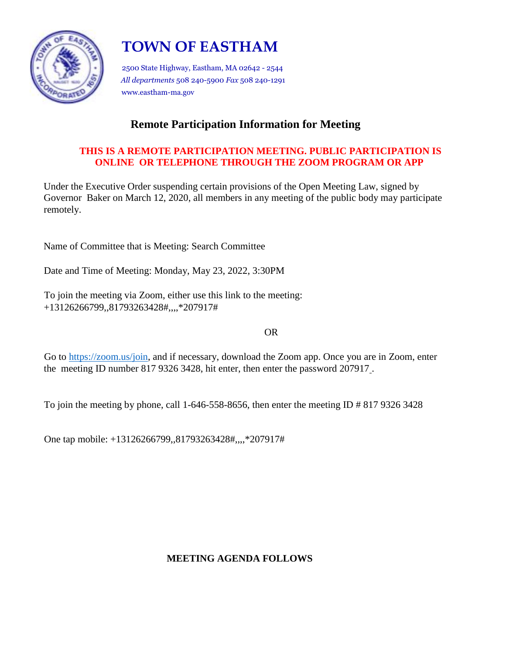

# **TOWN OF EASTHAM**

2500 State Highway, Eastham, MA 02642 - 2544 *All departments* 508 240-5900 *Fax* 508 240-1291 www.eastham-ma.gov

# **Remote Participation Information for Meeting**

### **THIS IS A REMOTE PARTICIPATION MEETING. PUBLIC PARTICIPATION IS ONLINE OR TELEPHONE THROUGH THE ZOOM PROGRAM OR APP**

Under the Executive Order suspending certain provisions of the Open Meeting Law, signed by Governor Baker on March 12, 2020, all members in any meeting of the public body may participate remotely.

Name of Committee that is Meeting: Search Committee

Date and Time of Meeting: Monday, May 23, 2022, 3:30PM

To join the meeting via Zoom, either use this link to the meeting: +13126266799,,81793263428#,,,,\*207917#

OR

Go to https://zoom.us/join, and if necessary, download the Zoom app. Once you are in Zoom, enter the meeting ID number 817 9326 3428, hit enter, then enter the password 207917 .

To join the meeting by phone, call 1-646-558-8656, then enter the meeting ID # 817 9326 3428

One tap mobile: +13126266799,,81793263428#,,,,\*207917#

## **MEETING AGENDA FOLLOWS**